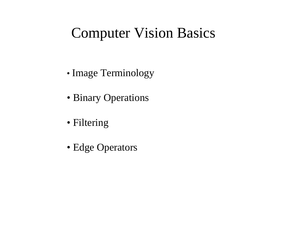#### Computer Vision Basics

- Image Terminology
- Binary Operations
- Filtering
- Edge Operators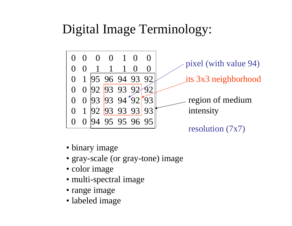#### Digital Image Terminology:



- binary image
- gray-scale (or gray-tone) image
- color image
- multi-spectral image
- range image
- labeled image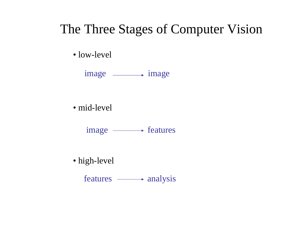#### The Three Stages of Computer Vision

• low-level

image **image** 

• mid-level

image - features

• high-level

features  $\longrightarrow$  analysis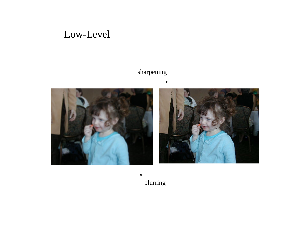#### Low-Level

#### sharpening



blurring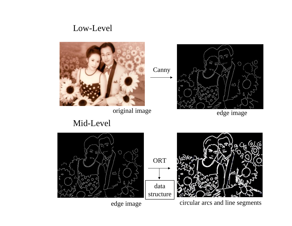#### Low-Level



Canny

ORT

data



Mid-Level





edge image circular arcs and line segments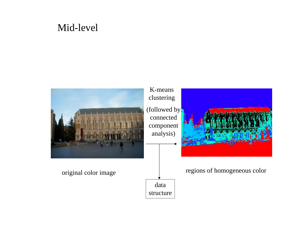#### Mid-level

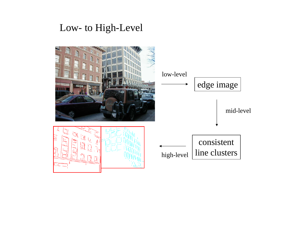#### Low- to High-Level

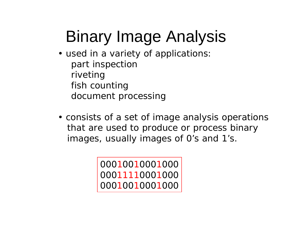# Binary Image Analysis

- used in a variety of applications: part inspection riveting fish counting document processing
- consists of a set of image analysis operations that are used to produce or process binary images, usually images of 0's and 1's.

000 100 1000 1000 0001111000 1000 000 100 1000 1000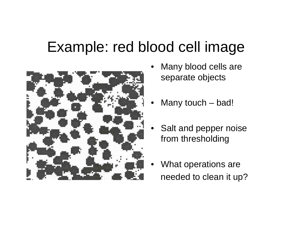### Example: red blood cell image



- Many blood cells are separate objects
- Many touch bad!
- Salt and pepper noise from thresholding
- What operations are needed to clean it up?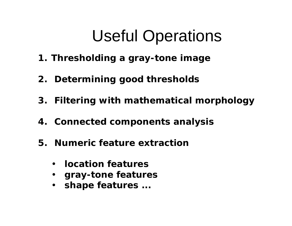# Useful Operations

- **1. Thresholding a gray-tone image**
- **2. Determining good thresholds**
- **3. Filtering with mathematical morphology**
- **4. Connected components analysis**
- **5. Numeric feature extraction**
	- **location features**
	- **gray-tone features**
	- **shape features ...**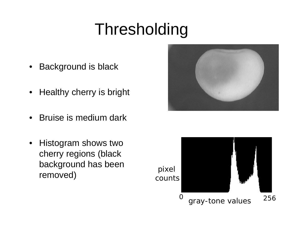# Thresholding

- Background is black
- Healthy cherry is bright
- Bruise is medium dark
- Histogram shows two cherry regions (black background has been removed)



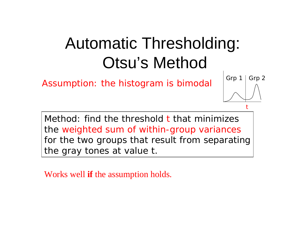## Automatic Thresholding: Otsu's Method

Assumption: the histogram is bimodal

Method: find the threshold **t** that minimizes the weighted sum of within-group variances for the two groups that result from separating the gray tones at value t.

t

Grp  $1 \mid$  Grp 2

Works well **if** the assumption holds.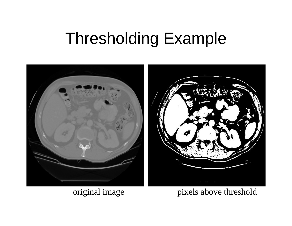### Thresholding Example



original image pixels above threshold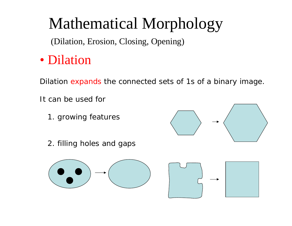### Mathematical Morphology

(Dilation, Erosion, Closing, Opening)

• Dilation

Dilation expands the connected sets of 1s of a binary image.

It can be used for

1. growing features



2. filling holes and gaps



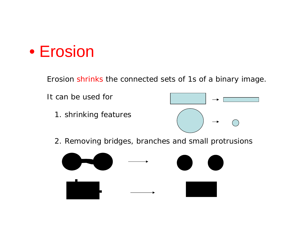#### $\bullet$ Erosion

Erosion shrinks the connected sets of 1s of a binary image.



2. Removing bridges, branches and small protrusions

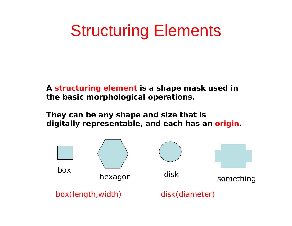### Structuring Elements

**A structuring element is a shape mask used in the basic morphological operations.**

**They can be any shape and size that is digitally representable, and each has an origin.**

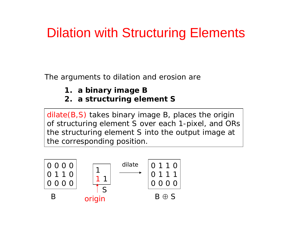### Dilation with Structuring Elements

The arguments to dilation and erosion are

- **1. a binary image B**
- **2. a structuring element S**

dilate(B,S) takes binary image B, places the origin of structuring element S over each 1-pixel, and ORs the structuring element S into the output image at the corresponding position.

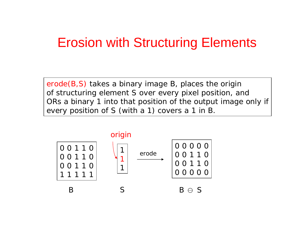#### Erosion with Structuring Elements

erode(B,S) takes a binary image B, places the origin of structuring element S over every pixel position, and ORs a binary 1 into that position of the output image only if every position of S (with a 1) covers a 1 in B.

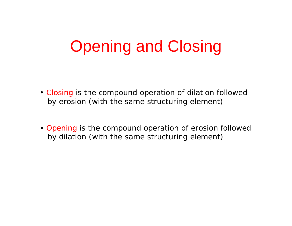# Opening and Closing

- Closing is the compound operation of dilation followed by erosion (with the same structuring element)
- Opening is the compound operation of erosion followed by dilation (with the same structuring element)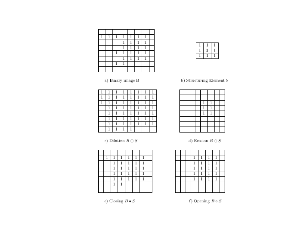| -9 | -9<br>-41        | 1<br>and in   | Ą,<br>nik (  |  |
|----|------------------|---------------|--------------|--|
|    |                  | 48<br>reder.  | 4<br>ratio   |  |
|    |                  | q,<br>n an    | 4<br>ndia.   |  |
|    | 1                | $\,$<br>ratio | 1            |  |
|    |                  | 7<br>ra Ba    | 4.<br>riddin |  |
|    | -3<br><b>THE</b> | 4<br>n Br     |              |  |
|    |                  |               |              |  |

a) Binary image  ${\bf B}$ 

|    | 4            | 1 | $\mathbf{1}$       | 4. | $\mathbf{1}$   | 1 |   |
|----|--------------|---|--------------------|----|----------------|---|---|
| Φ. | 1            | 1 | f.<br>n Br         |    | 1              | ī | 1 |
| a. | 1            | 1 | $\,$ $\,$<br>ra Ba |    | $\overline{1}$ | Ī | 1 |
|    | $\mathbf{1}$ | 1 | f<br>чH,           | щ. | $\mathbf 1$    | 1 | 1 |
|    | Ī            | 1 | 1                  | 1  | Ī              | 1 | 1 |
|    | 1            | 1 | f.<br>ra Ba        | щ. | 1              | 1 | 1 |
|    | 1            | 1 | 1<br>нHа           |    | ī              | Ī | 1 |
|    | r.           | 1 | нH,                |    |                |   |   |

c)<br> Dilation $B\oplus S$ 

|  | -7               | 48<br>      |      | 4<br>rath.   |  |
|--|------------------|-------------|------|--------------|--|
|  |                  | 4           |      | 4<br>n di    |  |
|  |                  |             |      |              |  |
|  | 1<br><b>1999</b> | 4<br>n Br   | <br> | 43<br>rath.  |  |
|  |                  | ×,          |      | -79<br>1980) |  |
|  |                  | 4<br>$\sim$ |      |              |  |
|  |                  |             |      |              |  |





b) Structuring Element  ${\bf S}$ 

|  |  | and a             |    |  |
|--|--|-------------------|----|--|
|  |  | п<br><b>STATE</b> | ×, |  |
|  |  | and a             |    |  |
|  |  |                   |    |  |
|  |  |                   |    |  |
|  |  |                   |    |  |

d)<br> Erosion $B\ominus S$ 

|  |   | stati            | J)         |  |
|--|---|------------------|------------|--|
|  |   | m                | J.<br>ь    |  |
|  |   | i.<br>and the co | 4<br>nika. |  |
|  | œ | i p<br>19.11     | Ĩ9         |  |
|  |   |                  | n          |  |
|  |   |                  |            |  |
|  |   |                  |            |  |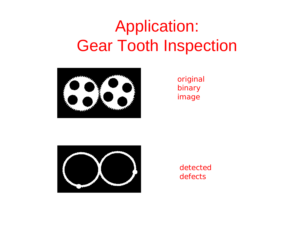## Application: Gear Tooth Inspection



original binary image



detecteddefects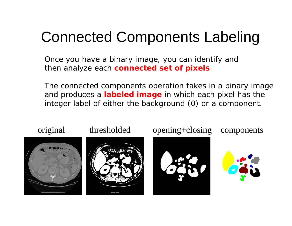### Connected Components Labeling

Once you have a binary image, you can identify and then analyze each **connected set of pixels**.

The connected components operation takes in a binary image and produces a **labeled image** in which each pixel has the integer label of either the background (0) or a component.

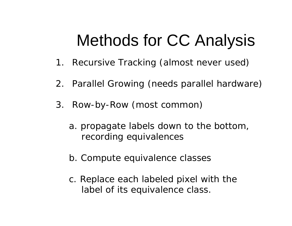# Methods for CC Analysis

- 1. Recursive Tracking (almost never used)
- 2. Parallel Growing (needs parallel hardware)
- 3. Row-by-Row (most common)
	- a. propagate labels down to the bottom, recording equivalences
	- b. Compute equivalence classes
	- c. Replace each labeled pixel with the label of its equivalence class.